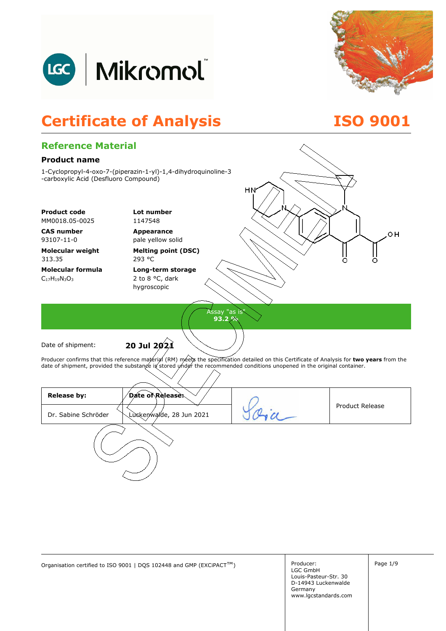



### **Certificate of Analysis ISO 9001**

#### **Reference Material Product name**  1-Cyclopropyl-4-oxo-7-(piperazin-1-yl)-1,4-dihydroquinoline-3 -carboxylic Acid (Desfluoro Compound) HN **Product code Lot number** MM0018.05-0025 1147548 **CAS number Appearance**  OН 93107-11-0 pale yellow solid **Molecular weight Melting point (DSC)**  313.35 293 °C **Molecular formula Long-term storage**  C17H19N3O<sup>3</sup> 2 to 8 °C, dark hygroscopic Assay "as is" **93.2 %**  Date of shipment: **20 Jul 2021** Producer confirms that this reference material (RM) meets the specification detailed on this Certificate of Analysis for **two years** from the date of shipment, provided the substange ig stored under the recommended conditions unopened in the original container. **Release by: Date of Release:**  Product Release Oria Luckenwalde, 28 Jun 2021 Dr. Sabine Schröder

Organisation certified to ISO 9001 | DQS 102448 and GMP (EXCiPACT<sup>™</sup>) Producer: Producer: Page 1/9

Producer: LGC GmbH Louis-Pasteur-Str. 30 D-14943 Luckenwalde Germany www.lgcstandards.com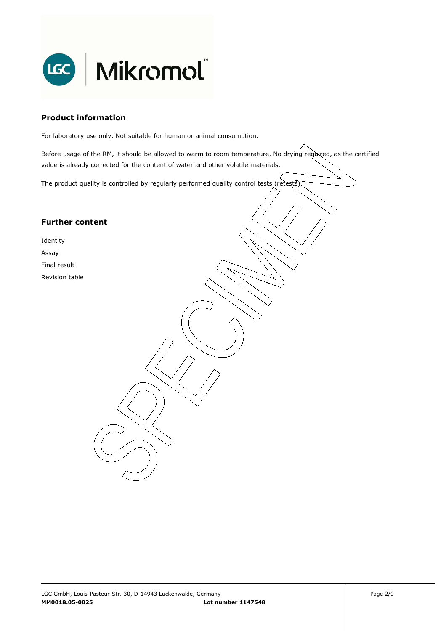

#### **Product information**

For laboratory use only. Not suitable for human or animal consumption.

Before usage of the RM, it should be allowed to warm to room temperature. No drying required, as the certified value is already corrected for the content of water and other volatile materials.

. The product quality is controlled by regularly performed quality control tests (retests).

#### **Further content**

Identity Assay Final result

Revision table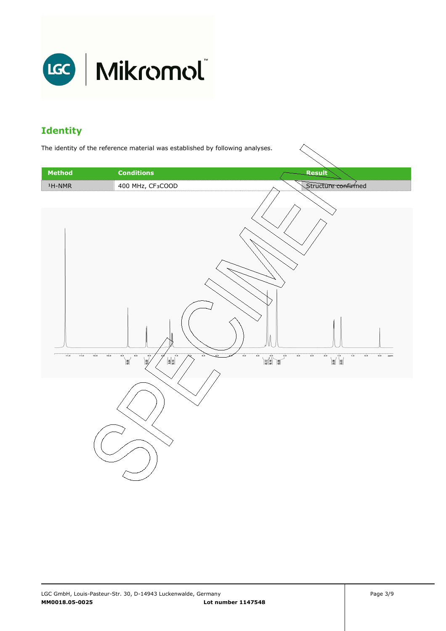

### **Identity**

The identity of the reference material was established by following analyses.

| <b>Method</b>        | <b>Conditions</b>                                                                                                                                                                                                                                                                                                                                                                                                                                                                                                                                                                                                                                                                                                                                                                                                                                                                                                                                                           | Result                                                                                                                                                                                                                                                                                                                                                                                                                                                                                                                                                                                                       |
|----------------------|-----------------------------------------------------------------------------------------------------------------------------------------------------------------------------------------------------------------------------------------------------------------------------------------------------------------------------------------------------------------------------------------------------------------------------------------------------------------------------------------------------------------------------------------------------------------------------------------------------------------------------------------------------------------------------------------------------------------------------------------------------------------------------------------------------------------------------------------------------------------------------------------------------------------------------------------------------------------------------|--------------------------------------------------------------------------------------------------------------------------------------------------------------------------------------------------------------------------------------------------------------------------------------------------------------------------------------------------------------------------------------------------------------------------------------------------------------------------------------------------------------------------------------------------------------------------------------------------------------|
| $1H-NMR$             | 400 MHz, CF3COOD                                                                                                                                                                                                                                                                                                                                                                                                                                                                                                                                                                                                                                                                                                                                                                                                                                                                                                                                                            | Structure confirmed                                                                                                                                                                                                                                                                                                                                                                                                                                                                                                                                                                                          |
|                      |                                                                                                                                                                                                                                                                                                                                                                                                                                                                                                                                                                                                                                                                                                                                                                                                                                                                                                                                                                             |                                                                                                                                                                                                                                                                                                                                                                                                                                                                                                                                                                                                              |
| 11.5<br>10.5<br>11.0 | $\begin{picture}(180,10) \put(0,0){\line(1,0){10}} \put(10,0){\line(1,0){10}} \put(10,0){\line(1,0){10}} \put(10,0){\line(1,0){10}} \put(10,0){\line(1,0){10}} \put(10,0){\line(1,0){10}} \put(10,0){\line(1,0){10}} \put(10,0){\line(1,0){10}} \put(10,0){\line(1,0){10}} \put(10,0){\line(1,0){10}} \put(10,0){\line(1,0){10}} \put(10,0){\line($<br>10.0<br>$\begin{array}{c} \hline \text{ } & \text{ } & \text{ } \\ \hline \text{ } & \text{ } & \text{ } \\ \text{ } & \text{ } & \text{ } \\ \text{ } & \text{ } & \text{ } \\ \text{ } & \text{ } & \text{ } \\ \text{ } & \text{ } & \text{ } \\ \text{ } & \text{ } & \text{ } \\ \text{ } & \text{ } & \text{ } \\ \text{ } & \text{ } & \text{ } \\ \text{ } & \text{ } & \text{ } \\ \text{ } & \text{ } & \text{ } \\ \text{ } & \text{ } & \text{ } \\ \text{ } & \text{ } & \text{ } \\ \text{ } & \text{ } & \text$<br>$\begin{matrix} \frac{1}{2} \\ \frac{1}{2} \end{matrix}$<br>$\overline{6.5}$<br>زە | $_{5.0}$<br>5.0<br>$2.5$<br>$_{\rm 2.0}$<br>$\left \begin{matrix} \mathbf{a} \\ \mathbf{b} \\ \mathbf{c} \end{matrix}\right  \left \begin{matrix} \mathbf{b} \\ \mathbf{c} \\ \mathbf{d} \end{matrix}\right $<br>1.0<br>0.5<br>$_{0.0}$<br>4.5<br>$\begin{picture}(120,10) \put(0,0){\line(1,0){15}} \put(15,0){\line(1,0){15}} \put(15,0){\line(1,0){15}} \put(15,0){\line(1,0){15}} \put(15,0){\line(1,0){15}} \put(15,0){\line(1,0){15}} \put(15,0){\line(1,0){15}} \put(15,0){\line(1,0){15}} \put(15,0){\line(1,0){15}} \put(15,0){\line(1,0){15}} \put(15,0){\line(1,0){15}} \put(15,0){\line($<br>ppm |
|                      |                                                                                                                                                                                                                                                                                                                                                                                                                                                                                                                                                                                                                                                                                                                                                                                                                                                                                                                                                                             |                                                                                                                                                                                                                                                                                                                                                                                                                                                                                                                                                                                                              |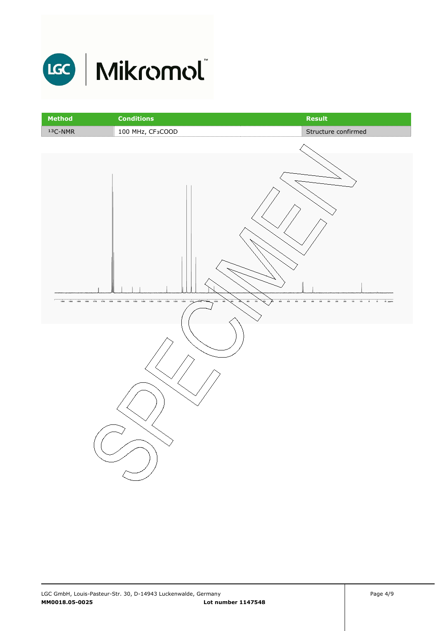

| Method    | <b>Conditions</b>                                                                            | Result                                                                                                                  |
|-----------|----------------------------------------------------------------------------------------------|-------------------------------------------------------------------------------------------------------------------------|
| $13C-NMR$ | 100 MHz, CF3COOD                                                                             | Structure confirmed                                                                                                     |
|           |                                                                                              |                                                                                                                         |
|           | 195 190 185 180 175 170 165 160 165 160 145 140 135 130 125 120 115 170<br>- 100<br>100<br>ż | $0 - 5$ ppm<br>$\overline{\bf 16}$<br>$\overline{10}$<br>$\frac{1}{6}$<br>48<br>40<br>35<br>30<br>25<br>$\overline{20}$ |
|           |                                                                                              |                                                                                                                         |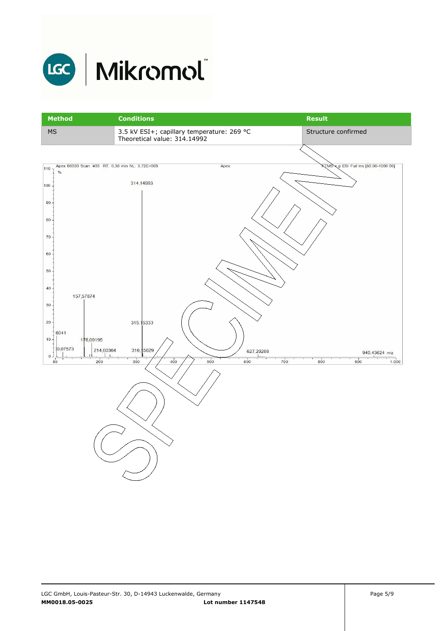

## LGC | Mikromol

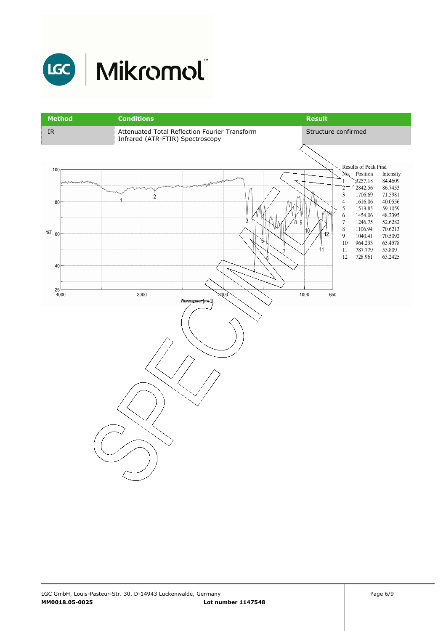

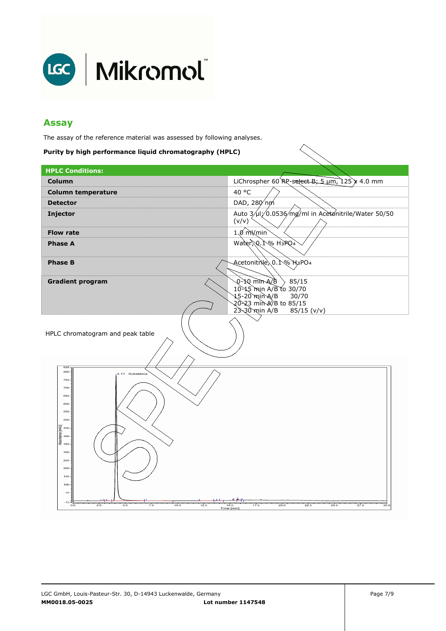

#### **Assay**

The assay of the reference material was assessed by following analyses.

#### **Purity by high performance liquid chromatography (HPLC)**

| <b>HPLC Conditions:</b>                                                                                                                                                                  |                                                                                                                                             |
|------------------------------------------------------------------------------------------------------------------------------------------------------------------------------------------|---------------------------------------------------------------------------------------------------------------------------------------------|
| Column                                                                                                                                                                                   | LiChrospher 60 RP-select B; 5 $\mu$ m, 125 x 4.0 mm                                                                                         |
| <b>Column temperature</b>                                                                                                                                                                | 40 °C                                                                                                                                       |
| <b>Detector</b>                                                                                                                                                                          | DAD, 280 nm                                                                                                                                 |
| Injector                                                                                                                                                                                 | Auto 3/µl/0.0536/mg/ml in Acetonitrile/Water 50/50<br>(v/v)                                                                                 |
| <b>Flow rate</b>                                                                                                                                                                         | $1.0 \text{ mWmin}$                                                                                                                         |
| <b>Phase A</b>                                                                                                                                                                           | Water, Q.1% H3PQ4                                                                                                                           |
| <b>Phase B</b>                                                                                                                                                                           | Acetonitr\le\0.1% H3PO4                                                                                                                     |
| <b>Gradient program</b>                                                                                                                                                                  | $\Phi$ \A-nim Qr-Q<br>85/15<br>10-15 min A/B to 30/70<br>15-20`min`A/B<br>30/70<br>20-23 min A/B to 85/15<br>$23-30$ min A/B<br>85/15 (v/v) |
| HPLC chromatogram and peak table<br>828<br>800<br>4.11<br>Substance<br>750<br>700<br>650<br>600<br>550<br>500<br>Likul)<br>450<br>Absortance In<br>300<br>250<br>200<br>150<br>100<br>60 |                                                                                                                                             |
| $-12$<br>10.0<br>12.5<br>2.5<br>5.0<br>7.5<br>$_{\rm oo}$                                                                                                                                | 15.0<br>17.5<br>25.0<br>20.0<br>22.5<br>27.5<br>30.0                                                                                        |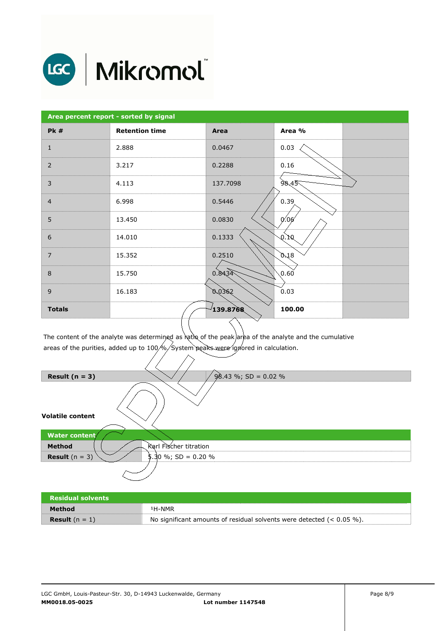

# LGC | Mikromol

| Area percent report - sorted by signal |                       |          |                              |
|----------------------------------------|-----------------------|----------|------------------------------|
| <b>Pk #</b>                            | <b>Retention time</b> | Area     | Area %                       |
| $\mathbf{1}$                           | 2.888                 | 0.0467   | 0.03                         |
| 2                                      | 3.217                 | 0.2288   | 0.16                         |
| $\overline{3}$                         | 4.113                 | 137.7098 | 98,45                        |
| $\overline{4}$                         | 6.998                 | 0.5446   | 0.39                         |
| 5                                      | 13.450                | 0.0830   | 0.06                         |
| 6                                      | 14.010                | 0.1333   | $\mathfrak{D}f.\mathfrak{D}$ |
| $\overline{7}$                         | 15.352                | 0.2510   | 0.18                         |
| $\,8\,$                                | 15.750                | 0.8434   | 0.60                         |
| 9                                      | 16.183                | 0°03.eS  | 0.03                         |
| <b>Totals</b>                          |                       | 139.8768 | 100.00                       |

The content of the analyte was determined as ratio of the peak area of the analyte and the cumulative areas of the purities, added up to 100 $\!\mathbin{\not\sim}$ System peaks were ignored in calculation.

| Result $(n = 3)$        | $98.43 \%$ ; SD = 0.02 % |
|-------------------------|--------------------------|
| <b>Volatile content</b> |                          |
| Water content/          |                          |
| <b>Method</b>           | Karl Fischer titration   |
| <b>Result</b> $(n = 3)$ | $$.30\%$ ; SD = 0.20 %   |
|                         |                          |

| <b>Residual solvents</b> |                                                                          |
|--------------------------|--------------------------------------------------------------------------|
| Method                   | <sup>1</sup> H-NMR                                                       |
| <b>Result</b> $(n = 1)$  | No significant amounts of residual solvents were detected $(< 0.05\%$ ). |